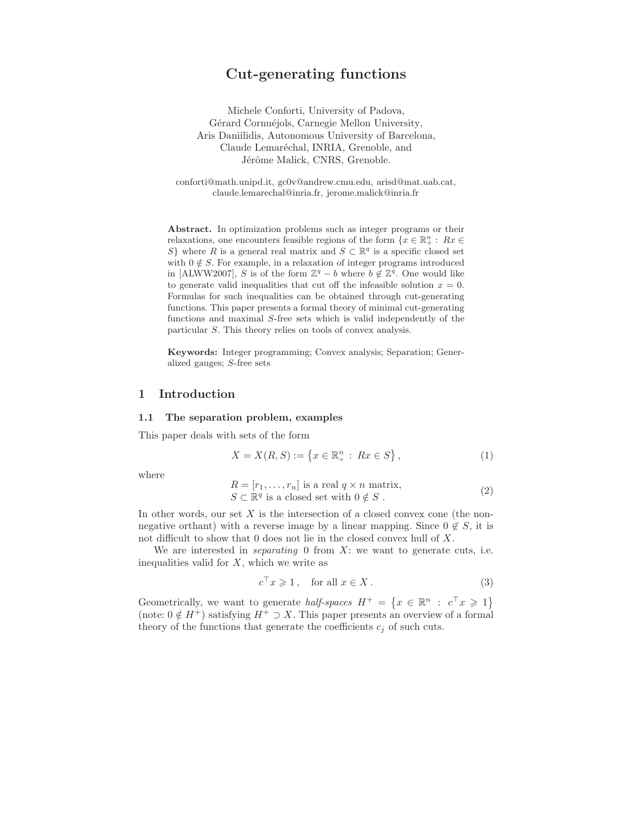# Cut-generating functions

Michele Conforti, University of Padova, Gérard Cornuéjols, Carnegie Mellon University, Aris Daniilidis, Autonomous University of Barcelona, Claude Lemaréchal, INRIA, Grenoble, and Jérôme Malick, CNRS, Grenoble.

conforti@math.unipd.it, gc0v@andrew.cmu.edu, arisd@mat.uab.cat, claude.lemarechal@inria.fr, jerome.malick@inria.fr

Abstract. In optimization problems such as integer programs or their relaxations, one encounters feasible regions of the form  $\{x \in \mathbb{R}_+^n : Rx \in \mathbb{R}_+^n\}$ S} where R is a general real matrix and  $S \subset \mathbb{R}^q$  is a specific closed set with  $0 \notin S$ . For example, in a relaxation of integer programs introduced in [ALWW2007], S is of the form  $\mathbb{Z}^q - b$  where  $b \notin \mathbb{Z}^q$ . One would like to generate valid inequalities that cut off the infeasible solution  $x = 0$ . Formulas for such inequalities can be obtained through cut-generating functions. This paper presents a formal theory of minimal cut-generating functions and maximal S-free sets which is valid independently of the particular S. This theory relies on tools of convex analysis.

Keywords: Integer programming; Convex analysis; Separation; Generalized gauges; S-free sets

## 1 Introduction

#### 1.1 The separation problem, examples

This paper deals with sets of the form

$$
X = X(R, S) := \{ x \in \mathbb{R}_+^n : Rx \in S \},
$$
\n(1)

where

$$
R = [r_1, \dots, r_n] \text{ is a real } q \times n \text{ matrix},
$$
  
\n
$$
S \subset \mathbb{R}^q \text{ is a closed set with } 0 \notin S .
$$
\n(2)

In other words, our set  $X$  is the intersection of a closed convex cone (the nonnegative orthant) with a reverse image by a linear mapping. Since  $0 \notin S$ , it is not difficult to show that 0 does not lie in the closed convex hull of X.

We are interested in *separating* 0 from  $X$ : we want to generate cuts, i.e. inequalities valid for  $X$ , which we write as

$$
c^{\top} x \geqslant 1, \quad \text{for all } x \in X. \tag{3}
$$

Geometrically, we want to generate half-spaces  $H^+ = \{x \in \mathbb{R}^n : c^\top x \geq 1\}$ (note:  $0 \notin H^+$ ) satisfying  $H^+ \supset X$ . This paper presents an overview of a formal theory of the functions that generate the coefficients  $c_i$  of such cuts.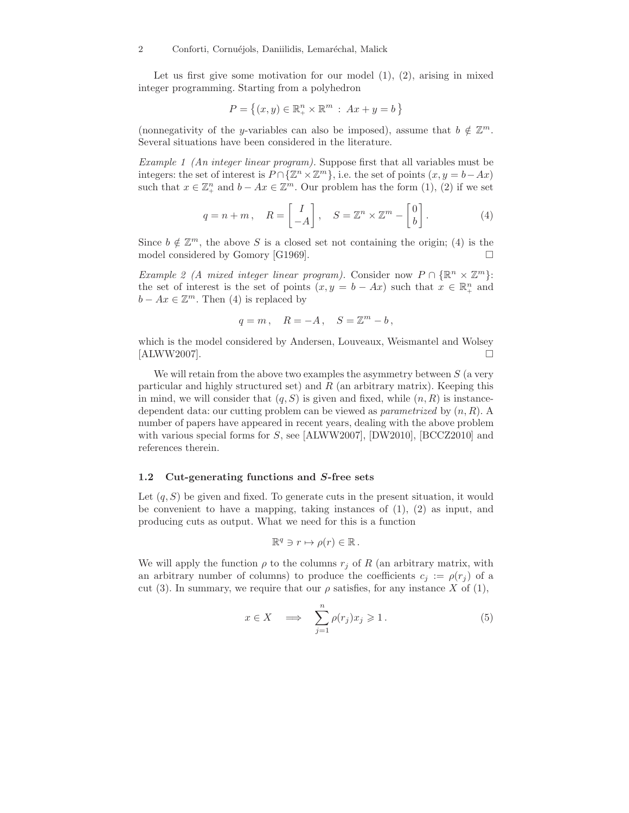Let us first give some motivation for our model  $(1)$ ,  $(2)$ , arising in mixed integer programming. Starting from a polyhedron

$$
P = \{(x, y) \in \mathbb{R}_+^n \times \mathbb{R}^m : Ax + y = b\}
$$

(nonnegativity of the y-variables can also be imposed), assume that  $b \notin \mathbb{Z}^m$ . Several situations have been considered in the literature.

Example 1 (An integer linear program). Suppose first that all variables must be integers: the set of interest is  $P \cap {\{\mathbb{Z}^n \times \mathbb{Z}^m\}}$ , i.e. the set of points  $(x, y = b - Ax)$ such that  $x \in \mathbb{Z}_{+}^{n}$  and  $b - Ax \in \mathbb{Z}^{m}$ . Our problem has the form  $(1), (2)$  if we set

$$
q = n + m, \quad R = \begin{bmatrix} I \\ -A \end{bmatrix}, \quad S = \mathbb{Z}^n \times \mathbb{Z}^m - \begin{bmatrix} 0 \\ b \end{bmatrix}.
$$
 (4)

Since  $b \notin \mathbb{Z}^m$ , the above S is a closed set not containing the origin; (4) is the model considered by Gomory [G1969].

Example 2 (A mixed integer linear program). Consider now  $P \cap {\mathbb R}^n \times {\mathbb Z}^m$ : the set of interest is the set of points  $(x, y = b - Ax)$  such that  $x \in \mathbb{R}^n_+$  and  $b - Ax \in \mathbb{Z}^m$ . Then (4) is replaced by

$$
q=m\,,\quad R=-A\,,\quad S=\mathbb{Z}^m-b\,,
$$

which is the model considered by Andersen, Louveaux, Weismantel and Wolsey  $[ALWW2007]$ .

We will retain from the above two examples the asymmetry between  $S$  (a very particular and highly structured set) and  $R$  (an arbitrary matrix). Keeping this in mind, we will consider that  $(q, S)$  is given and fixed, while  $(n, R)$  is instancedependent data: our cutting problem can be viewed as *parametrized* by  $(n, R)$ . A number of papers have appeared in recent years, dealing with the above problem with various special forms for S, see [ALWW2007], [DW2010], [BCCZ2010] and references therein.

#### 1.2 Cut-generating functions and S-free sets

Let  $(q, S)$  be given and fixed. To generate cuts in the present situation, it would be convenient to have a mapping, taking instances of  $(1)$ ,  $(2)$  as input, and producing cuts as output. What we need for this is a function

$$
\mathbb{R}^q \ni r \mapsto \rho(r) \in \mathbb{R} \, .
$$

We will apply the function  $\rho$  to the columns  $r_j$  of R (an arbitrary matrix, with an arbitrary number of columns) to produce the coefficients  $c_i := \rho(r_i)$  of a cut (3). In summary, we require that our  $\rho$  satisfies, for any instance X of (1),

$$
x \in X \quad \Longrightarrow \quad \sum_{j=1}^{n} \rho(r_j) x_j \geqslant 1. \tag{5}
$$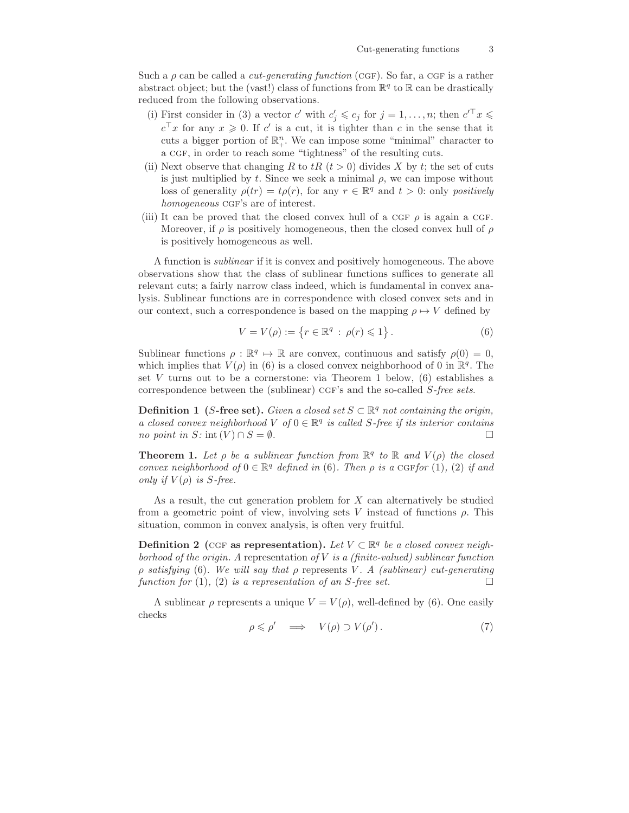Such a  $\rho$  can be called a *cut-generating function* (CGF). So far, a CGF is a rather abstract object; but the (vast!) class of functions from  $\mathbb{R}^q$  to  $\mathbb R$  can be drastically reduced from the following observations.

- (i) First consider in (3) a vector c' with  $c'_j \leqslant c_j$  for  $j = 1, ..., n$ ; then  $c'^{\top} x \leqslant$  $c^{\top}x$  for any  $x \geqslant 0$ . If c' is a cut, it is tighter than c in the sense that it cuts a bigger portion of  $\mathbb{R}^n_+$ . We can impose some "minimal" character to a CGF, in order to reach some "tightness" of the resulting cuts.
- (ii) Next observe that changing R to  $tR$  ( $t > 0$ ) divides X by t; the set of cuts is just multiplied by t. Since we seek a minimal  $\rho$ , we can impose without loss of generality  $\rho(tr) = t\rho(r)$ , for any  $r \in \mathbb{R}^q$  and  $t > 0$ : only positively homogeneous CGF's are of interest.
- (iii) It can be proved that the closed convex hull of a CGF  $\rho$  is again a CGF. Moreover, if  $\rho$  is positively homogeneous, then the closed convex hull of  $\rho$ is positively homogeneous as well.

A function is sublinear if it is convex and positively homogeneous. The above observations show that the class of sublinear functions suffices to generate all relevant cuts; a fairly narrow class indeed, which is fundamental in convex analysis. Sublinear functions are in correspondence with closed convex sets and in our context, such a correspondence is based on the mapping  $\rho \mapsto V$  defined by

$$
V = V(\rho) := \{ r \in \mathbb{R}^q : \rho(r) \leq 1 \}.
$$
 (6)

Sublinear functions  $\rho : \mathbb{R}^q \to \mathbb{R}$  are convex, continuous and satisfy  $\rho(0) = 0$ , which implies that  $V(\rho)$  in (6) is a closed convex neighborhood of 0 in  $\mathbb{R}^q$ . The set  $V$  turns out to be a cornerstone: via Theorem 1 below,  $(6)$  establishes a correspondence between the (sublinear)  $CGF's$  and the so-called  $S-free$  sets.

**Definition 1** (S-free set). Given a closed set  $S \subset \mathbb{R}^q$  not containing the origin, a closed convex neighborhood  $V$  of  $0 \in \mathbb{R}^q$  is called S-free if its interior contains no point in  $S: \text{int}(V) \cap S = \emptyset$ .

**Theorem 1.** Let  $\rho$  be a sublinear function from  $\mathbb{R}^q$  to  $\mathbb{R}$  and  $V(\rho)$  the closed convex neighborhood of  $0 \in \mathbb{R}^q$  defined in (6). Then  $\rho$  is a CGF for (1), (2) if and only if  $V(\rho)$  is S-free.

As a result, the cut generation problem for X can alternatively be studied from a geometric point of view, involving sets V instead of functions  $\rho$ . This situation, common in convex analysis, is often very fruitful.

Definition 2 (CGF as representation). Let  $V \subset \mathbb{R}^q$  be a closed convex neighborhood of the origin. A representation of  $V$  is a (finite-valued) sublinear function ρ satisfying (6). We will say that ρ represents V . A (sublinear) cut-generating function for (1), (2) is a representation of an S-free set.

A sublinear  $\rho$  represents a unique  $V = V(\rho)$ , well-defined by (6). One easily checks

$$
\rho \leqslant \rho' \quad \Longrightarrow \quad V(\rho) \supset V(\rho'). \tag{7}
$$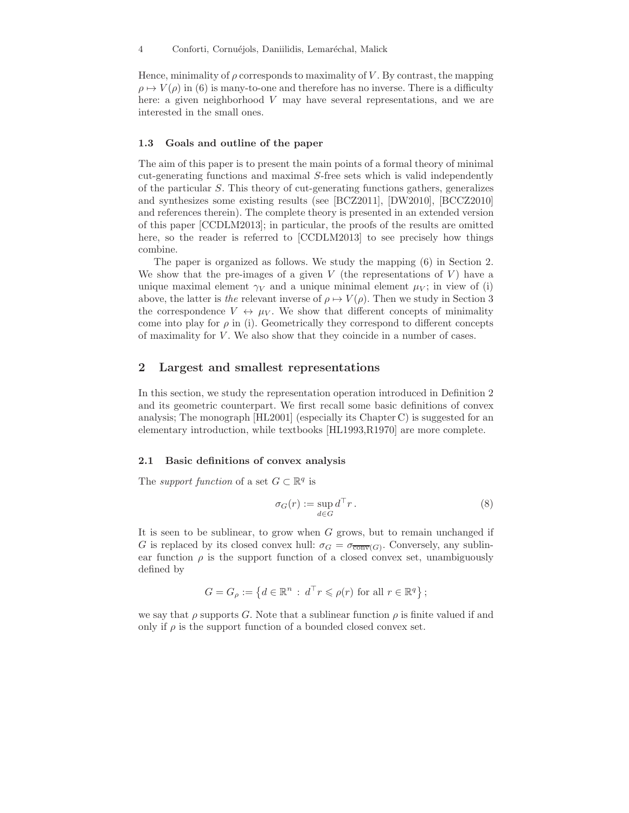Hence, minimality of  $\rho$  corresponds to maximality of V. By contrast, the mapping  $\rho \mapsto V(\rho)$  in (6) is many-to-one and therefore has no inverse. There is a difficulty here: a given neighborhood  $V$  may have several representations, and we are interested in the small ones.

#### 1.3 Goals and outline of the paper

The aim of this paper is to present the main points of a formal theory of minimal cut-generating functions and maximal S-free sets which is valid independently of the particular S. This theory of cut-generating functions gathers, generalizes and synthesizes some existing results (see [BCZ2011], [DW2010], [BCCZ2010] and references therein). The complete theory is presented in an extended version of this paper [CCDLM2013]; in particular, the proofs of the results are omitted here, so the reader is referred to [CCDLM2013] to see precisely how things combine.

The paper is organized as follows. We study the mapping (6) in Section 2. We show that the pre-images of a given  $V$  (the representations of  $V$ ) have a unique maximal element  $\gamma_V$  and a unique minimal element  $\mu_V$ ; in view of (i) above, the latter is the relevant inverse of  $\rho \mapsto V(\rho)$ . Then we study in Section 3 the correspondence  $V \leftrightarrow \mu_V$ . We show that different concepts of minimality come into play for  $\rho$  in (i). Geometrically they correspond to different concepts of maximality for  $V$ . We also show that they coincide in a number of cases.

### 2 Largest and smallest representations

In this section, we study the representation operation introduced in Definition 2 and its geometric counterpart. We first recall some basic definitions of convex analysis; The monograph [HL2001] (especially its Chapter C) is suggested for an elementary introduction, while textbooks [HL1993,R1970] are more complete.

#### 2.1 Basic definitions of convex analysis

The *support function* of a set  $G \subset \mathbb{R}^q$  is

$$
\sigma_G(r) := \sup_{d \in G} d^{\top} r.
$$
\n(8)

It is seen to be sublinear, to grow when G grows, but to remain unchanged if G is replaced by its closed convex hull:  $\sigma_G = \sigma_{\overline{\text{conv}}(G)}$ . Conversely, any sublinear function  $\rho$  is the support function of a closed convex set, unambiguously defined by

$$
G = G_{\rho} := \left\{ d \in \mathbb{R}^n : d^{\top} r \leqslant \rho(r) \text{ for all } r \in \mathbb{R}^q \right\};
$$

we say that  $\rho$  supports G. Note that a sublinear function  $\rho$  is finite valued if and only if  $\rho$  is the support function of a bounded closed convex set.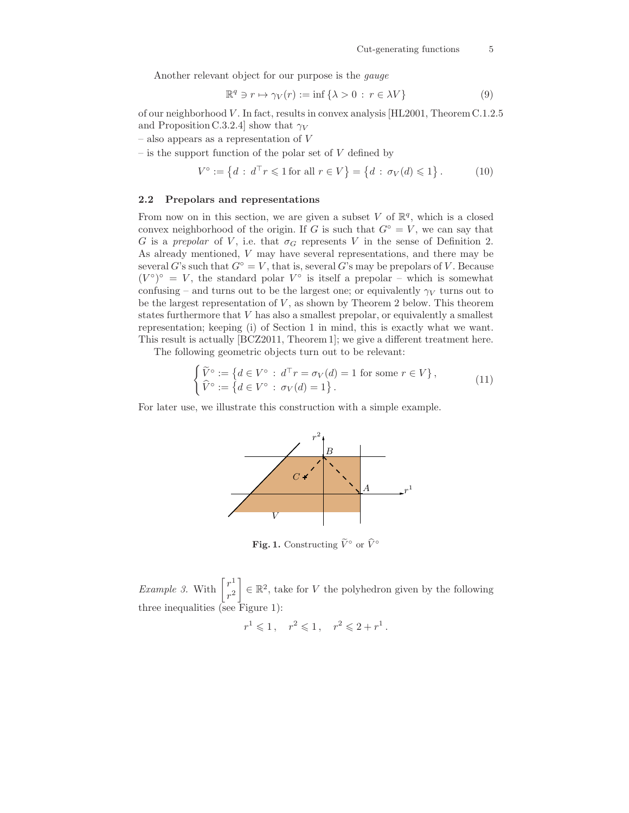Another relevant object for our purpose is the gauge

$$
\mathbb{R}^q \ni r \mapsto \gamma_V(r) := \inf \{ \lambda > 0 : r \in \lambda V \}
$$
 (9)

of our neighborhood V . In fact, results in convex analysis [HL2001, Theorem C.1.2.5 and Proposition C.3.2.4] show that  $\gamma_V$ 

 $-$  also appears as a representation of  $V$ 

 $-$  is the support function of the polar set of  $V$  defined by

$$
V^{\circ} := \{ d : d^{\top} r \leq 1 \text{ for all } r \in V \} = \{ d : \sigma_V(d) \leq 1 \}.
$$
 (10)

#### 2.2 Prepolars and representations

 $\overline{\phantom{a}}$ 

From now on in this section, we are given a subset V of  $\mathbb{R}^q$ , which is a closed convex neighborhood of the origin. If G is such that  $G<sup>°</sup> = V$ , we can say that G is a prepolar of V, i.e. that  $\sigma_G$  represents V in the sense of Definition 2. As already mentioned, V may have several representations, and there may be several G's such that  $G^{\circ} = V$ , that is, several G's may be prepolars of V. Because  $(V^{\circ})^{\circ} = V$ , the standard polar  $V^{\circ}$  is itself a prepolar – which is somewhat confusing – and turns out to be the largest one; or equivalently  $\gamma_V$  turns out to be the largest representation of  $V$ , as shown by Theorem 2 below. This theorem states furthermore that V has also a smallest prepolar, or equivalently a smallest representation; keeping (i) of Section 1 in mind, this is exactly what we want. This result is actually [BCZ2011, Theorem 1]; we give a different treatment here.

The following geometric objects turn out to be relevant:

$$
\begin{cases}\n\widetilde{V}^{\circ} := \left\{ d \in V^{\circ} : d^{\top}r = \sigma_V(d) = 1 \text{ for some } r \in V \right\}, \\
\widehat{V}^{\circ} := \left\{ d \in V^{\circ} : \sigma_V(d) = 1 \right\}.\n\end{cases} \tag{11}
$$

For later use, we illustrate this construction with a simple example.



**Fig. 1.** Constructing  $\widetilde{V}^{\circ}$  or  $\widehat{V}^{\circ}$ 

*Example 3.* With  $\begin{bmatrix} r^1 \\ r^2 \end{bmatrix}$  $r^2$  $\Big] \in \mathbb{R}^2$ , take for V the polyhedron given by the following three inequalities (see Figure 1):

$$
r^1 \leq 1
$$
,  $r^2 \leq 1$ ,  $r^2 \leq 2 + r^1$ .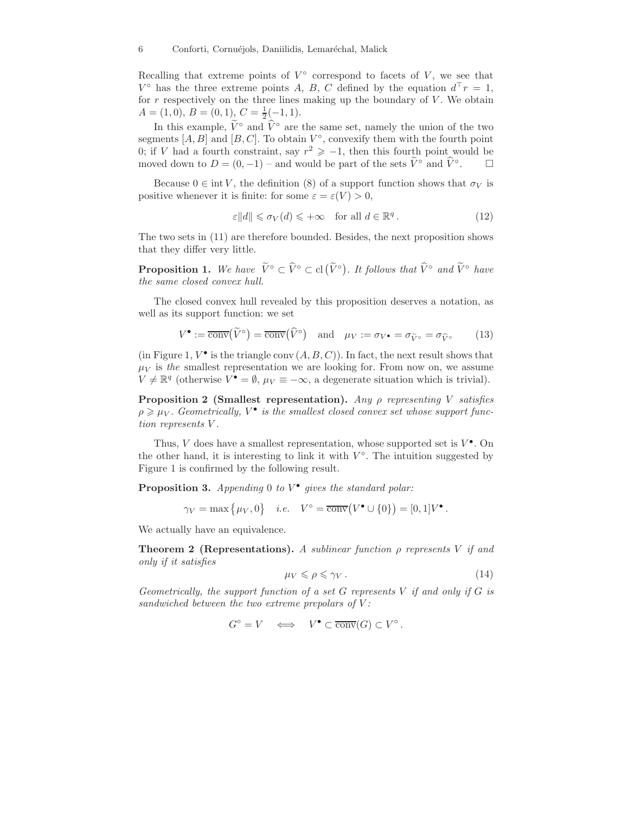Recalling that extreme points of  $V^{\circ}$  correspond to facets of V, we see that  $V^{\circ}$  has the three extreme points A, B, C defined by the equation  $d^{\top}r = 1$ , for  $r$  respectively on the three lines making up the boundary of  $V$ . We obtain  $A = (1,0), B = (0,1), C = \frac{1}{2}(-1,1).$ 

In this example,  $\tilde{V}^{\circ}$  and  $\hat{V}^{\circ}$  are the same set, namely the union of the two segments  $[A, B]$  and  $[B, C]$ . To obtain  $V^{\circ}$ , convexify them with the fourth point 0; if V had a fourth constraint, say  $r^2 \geq -1$ , then this fourth point would be moved down to  $D = (0, -1)$  – and would be part of the sets  $\tilde{V}^{\circ}$  and  $\tilde{V}^{\circ}$ .  $\Box$ 

Because  $0 \in \text{int } V$ , the definition (8) of a support function shows that  $\sigma_V$  is positive whenever it is finite: for some  $\varepsilon = \varepsilon(V) > 0$ ,

$$
\varepsilon \|d\| \leq \sigma_V(d) \leq +\infty \quad \text{for all } d \in \mathbb{R}^q. \tag{12}
$$

The two sets in (11) are therefore bounded. Besides, the next proposition shows that they differ very little.

**Proposition 1.** We have  $\widetilde{V}^{\circ} \subset \widehat{V}^{\circ} \subset cl(\widetilde{V}^{\circ})$ . It follows that  $\widehat{V}^{\circ}$  and  $\widetilde{V}^{\circ}$  have the same closed convex hull.

The closed convex hull revealed by this proposition deserves a notation, as well as its support function: we set

$$
V^{\bullet} := \overline{\text{conv}}(\widetilde{V}^{\circ}) = \overline{\text{conv}}(\widehat{V}^{\circ}) \quad \text{and} \quad \mu_{V} := \sigma_{V^{\bullet}} = \sigma_{\widetilde{V}^{\circ}} = \sigma_{\widehat{V}^{\circ}} \tag{13}
$$

(in Figure 1,  $V^{\bullet}$  is the triangle conv  $(A, B, C)$ ). In fact, the next result shows that  $\mu_V$  is the smallest representation we are looking for. From now on, we assume  $V \neq \mathbb{R}^q$  (otherwise  $V^{\bullet} = \emptyset$ ,  $\mu_V \equiv -\infty$ , a degenerate situation which is trivial).

**Proposition 2 (Smallest representation).** Any  $\rho$  representing V satisfies  $\rho \geqslant \mu_V$ . Geometrically,  $V^{\bullet}$  is the smallest closed convex set whose support function represents V .

Thus, V does have a smallest representation, whose supported set is  $V^{\bullet}$ . On the other hand, it is interesting to link it with  $V^{\circ}$ . The intuition suggested by Figure 1 is confirmed by the following result.

**Proposition 3.** Appending 0 to  $V^{\bullet}$  gives the standard polar:

 $\gamma_V = \max \{ \mu_V, 0 \}$  *i.e.*  $V^\circ = \overline{\text{conv}}(V^\bullet \cup \{0\}) = [0, 1]V^\bullet$ .

We actually have an equivalence.

**Theorem 2 (Representations).** A sublinear function  $\rho$  represents V if and only if it satisfies

$$
\mu_V \leqslant \rho \leqslant \gamma_V \,. \tag{14}
$$

Geometrically, the support function of a set  $G$  represents  $V$  if and only if  $G$  is sandwiched between the two extreme prepolars of  $V$ :

$$
G^{\circ} = V \iff V^{\bullet} \subset \overline{\text{conv}}(G) \subset V^{\circ}.
$$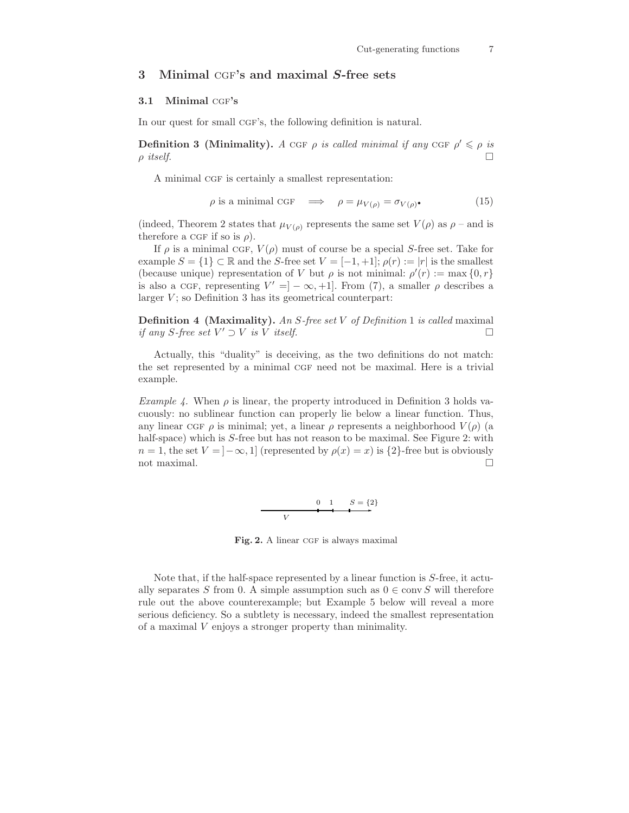## 3 Minimal CGF's and maximal S-free sets

## 3.1 Minimal CGF's

In our quest for small CGF's, the following definition is natural.

**Definition 3 (Minimality).** A CGF  $\rho$  is called minimal if any CGF  $\rho' \leq \rho$  is  $\rho$  itself.

A minimal CGF is certainly a smallest representation:

$$
\rho \text{ is a minimal CGF} \quad \Longrightarrow \quad \rho = \mu_{V(\rho)} = \sigma_{V(\rho)}.
$$
\n<sup>(15)</sup>

(indeed, Theorem 2 states that  $\mu_{V(\rho)}$  represents the same set  $V(\rho)$  as  $\rho$  – and is therefore a CGF if so is  $\rho$ ).

If  $\rho$  is a minimal CGF,  $V(\rho)$  must of course be a special S-free set. Take for example  $S = \{1\} \subset \mathbb{R}$  and the S-free set  $V = [-1, +1]$ ;  $\rho(r) := |r|$  is the smallest (because unique) representation of V but  $\rho$  is not minimal:  $\rho'(r) := \max\{0, r\}$ is also a CGF, representing  $V' = ] - \infty, +1]$ . From (7), a smaller  $\rho$  describes a larger  $V$ ; so Definition 3 has its geometrical counterpart:

**Definition 4 (Maximality).** An S-free set V of Definition 1 is called maximal if any S-free set  $V' \supset V$  is V itself.

Actually, this "duality" is deceiving, as the two definitions do not match: the set represented by a minimal CGF need not be maximal. Here is a trivial example.

Example 4. When  $\rho$  is linear, the property introduced in Definition 3 holds vacuously: no sublinear function can properly lie below a linear function. Thus, any linear CGF  $\rho$  is minimal; yet, a linear  $\rho$  represents a neighborhood  $V(\rho)$  (a half-space) which is S-free but has not reason to be maximal. See Figure 2: with  $n = 1$ , the set  $V = [-\infty, 1]$  (represented by  $\rho(x) = x$ ) is  $\{2\}$ -free but is obviously not maximal.  $\Box$ 

$$
0 \quad 1 \qquad S = \{2\}
$$

Fig. 2. A linear CGF is always maximal

Note that, if the half-space represented by a linear function is S-free, it actually separates S from 0. A simple assumption such as  $0 \in \text{conv } S$  will therefore rule out the above counterexample; but Example 5 below will reveal a more serious deficiency. So a subtlety is necessary, indeed the smallest representation of a maximal V enjoys a stronger property than minimality.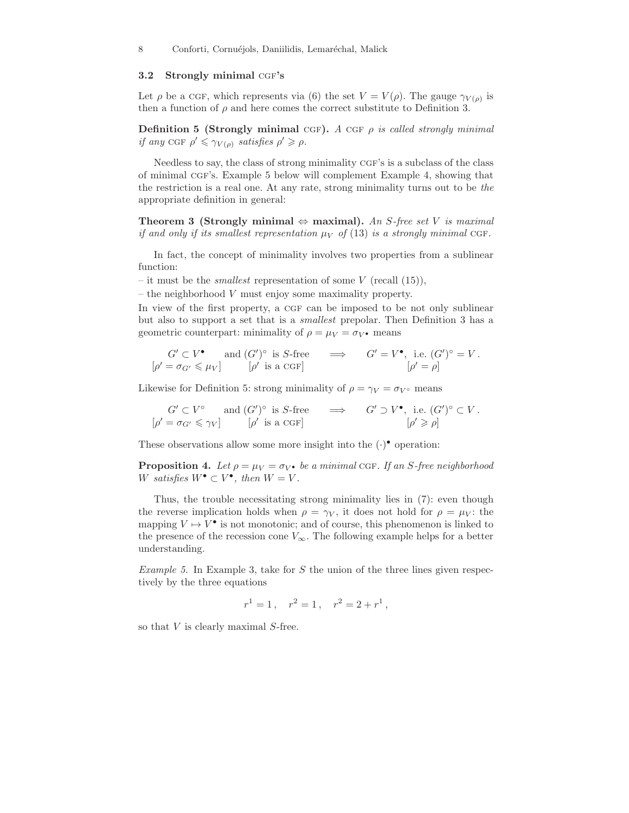#### 3.2 Strongly minimal CGF's

Let  $\rho$  be a CGF, which represents via (6) the set  $V = V(\rho)$ . The gauge  $\gamma_{V(\rho)}$  is then a function of  $\rho$  and here comes the correct substitute to Definition 3.

Definition 5 (Strongly minimal CGF). A CGF  $\rho$  is called strongly minimal if any CGF  $\rho' \leq \gamma_{V(\rho)}$  satisfies  $\rho' \geq \rho$ .

Needless to say, the class of strong minimality CGF's is a subclass of the class of minimal cgf's. Example 5 below will complement Example 4, showing that the restriction is a real one. At any rate, strong minimality turns out to be the appropriate definition in general:

Theorem 3 (Strongly minimal  $\Leftrightarrow$  maximal). An S-free set V is maximal if and only if its smallest representation  $\mu_V$  of (13) is a strongly minimal CGF.

In fact, the concept of minimality involves two properties from a sublinear function:

– it must be the *smallest* representation of some  $V$  (recall (15)),

– the neighborhood  $V$  must enjoy some maximality property.

In view of the first property, a CGF can be imposed to be not only sublinear but also to support a set that is a smallest prepolar. Then Definition 3 has a geometric counterpart: minimality of  $\rho = \mu_V = \sigma_V$  • means

$$
G' \subset V^{\bullet}
$$
 and  $(G')^{\circ}$  is *S*-free  $\implies$   $G' = V^{\bullet}$ , i.e.  $(G')^{\circ} = V$ .  
\n $\left[\rho' = \sigma_{G'} \leq \mu_V\right]$   $\left[\rho' \text{ is a CGF}\right]$   $\left[\rho' = \rho\right]$ 

Likewise for Definition 5: strong minimality of  $\rho = \gamma_V = \sigma_V \circ$  means

$$
G' \subset V^{\circ}
$$
 and  $(G')^{\circ}$  is *S*-free  $\implies$   $G' \supset V^{\bullet}$ , i.e.  $(G')^{\circ} \subset V$ .  
\n $[\rho' = \sigma_{G'} \le \gamma_V]$   $[\rho' \text{ is a CGF}]$   $[\rho' \ge \rho]$ 

These observations allow some more insight into the  $(\cdot)$ <sup>•</sup> operation:

**Proposition 4.** Let  $\rho = \mu_V = \sigma_V$  be a minimal CGF. If an S-free neighborhood W satisfies  $W^{\bullet} \subset V^{\bullet}$ , then  $W = V$ .

Thus, the trouble necessitating strong minimality lies in (7): even though the reverse implication holds when  $\rho = \gamma_V$ , it does not hold for  $\rho = \mu_V$ : the mapping  $V \mapsto V^{\bullet}$  is not monotonic; and of course, this phenomenon is linked to the presence of the recession cone  $V_{\infty}$ . The following example helps for a better understanding.

*Example 5.* In Example 3, take for  $S$  the union of the three lines given respectively by the three equations

$$
r^1 = 1 \,, \quad r^2 = 1 \,, \quad r^2 = 2 + r^1 \,,
$$

so that  $V$  is clearly maximal  $S$ -free.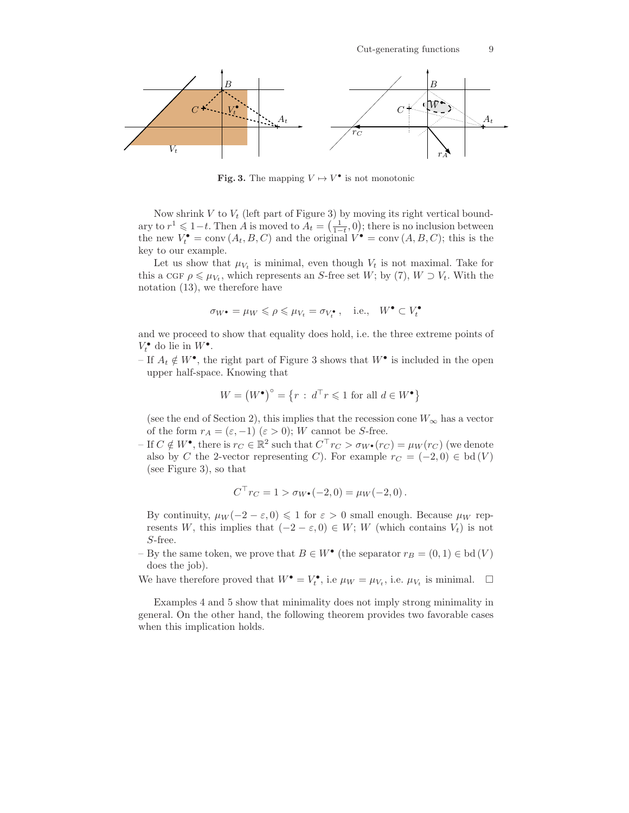

**Fig. 3.** The mapping  $V \mapsto V^{\bullet}$  is not monotonic

Now shrink  $V$  to  $V_t$  (left part of Figure 3) by moving its right vertical boundary to  $r^1 \leq 1-t$ . Then A is moved to  $A_t = \left(\frac{1}{1-t}, 0\right)$ ; there is no inclusion between the new  $V_t^{\bullet} = \text{conv}(A_t, B, C)$  and the original  $V^{\bullet} = \text{conv}(A, B, C)$ ; this is the key to our example.

Let us show that  $\mu_{V_t}$  is minimal, even though  $V_t$  is not maximal. Take for this a CGF  $\rho \le \mu_{V_t}$ , which represents an S-free set W; by (7),  $W \supset V_t$ . With the notation (13), we therefore have

$$
\sigma_{W^{\bullet}} = \mu_W \leqslant \rho \leqslant \mu_{V_t} = \sigma_{V_t^{\bullet}}, \quad \text{i.e.,} \quad W^{\bullet} \subset V_t^{\bullet}
$$

and we proceed to show that equality does hold, i.e. the three extreme points of  $V_t^{\bullet}$  do lie in  $W^{\bullet}$ .

– If  $A_t \notin W^{\bullet}$ , the right part of Figure 3 shows that  $W^{\bullet}$  is included in the open upper half-space. Knowing that

$$
W = (W^{\bullet})^{\circ} = \{r : d^{\top}r \leq 1 \text{ for all } d \in W^{\bullet}\}\
$$

(see the end of Section 2), this implies that the recession cone  $W_{\infty}$  has a vector of the form  $r_A = (\varepsilon, -1)$   $(\varepsilon > 0)$ ; W cannot be S-free.

– If  $C \notin W^{\bullet}$ , there is  $r_C \in \mathbb{R}^2$  such that  $C^{\top} r_C > \sigma_{W^{\bullet}}(r_C) = \mu_W(r_C)$  (we denote also by C the 2-vector representing C). For example  $r_C = (-2,0) \in bd(V)$ (see Figure 3), so that

$$
C^{\top} r_C = 1 > \sigma_{W^{\bullet}}(-2, 0) = \mu_W(-2, 0).
$$

By continuity,  $\mu_W(-2-\varepsilon,0) \leq 1$  for  $\varepsilon > 0$  small enough. Because  $\mu_W$  represents W, this implies that  $(-2 - \varepsilon, 0) \in W$ ; W (which contains  $V_t$ ) is not S-free.

– By the same token, we prove that  $B \in W^{\bullet}$  (the separator  $r_B = (0, 1) \in bd(V)$ ) does the job).

We have therefore proved that  $W^{\bullet} = V_t^{\bullet}$ , i.e.  $\mu_W = \mu_{V_t}$ , i.e.  $\mu_{V_t}$  is minimal.  $\square$ 

Examples 4 and 5 show that minimality does not imply strong minimality in general. On the other hand, the following theorem provides two favorable cases when this implication holds.